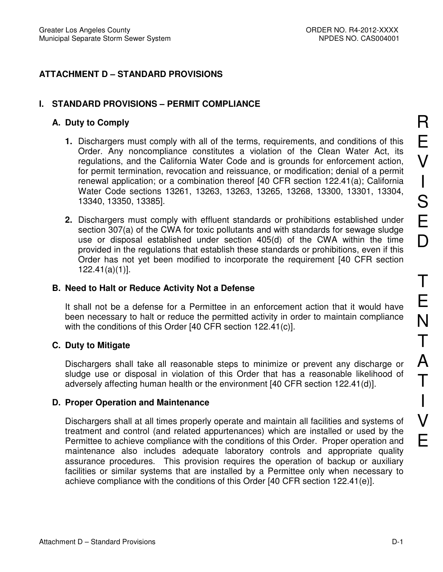## **ATTACHMENT D – STANDARD PROVISIONS**

### **I. STANDARD PROVISIONS – PERMIT COMPLIANCE**

### **A. Duty to Comply**

- **1.** Dischargers must comply with all of the terms, requirements, and conditions of this Order. Any noncompliance constitutes a violation of the Clean Water Act, its regulations, and the California Water Code and is grounds for enforcement action, for permit termination, revocation and reissuance, or modification; denial of a permit renewal application; or a combination thereof [40 CFR section 122.41(a); California Water Code sections 13261, 13263, 13263, 13265, 13268, 13300, 13301, 13304, 13340, 13350, 13385].
- **2.** Dischargers must comply with effluent standards or prohibitions established under section 307(a) of the CWA for toxic pollutants and with standards for sewage sludge use or disposal established under section 405(d) of the CWA within the time provided in the regulations that establish these standards or prohibitions, even if this Order has not yet been modified to incorporate the requirement [40 CFR section 122.41(a)(1)].

#### **B. Need to Halt or Reduce Activity Not a Defense**

It shall not be a defense for a Permittee in an enforcement action that it would have been necessary to halt or reduce the permitted activity in order to maintain compliance with the conditions of this Order [40 CFR section 122.41(c)].

### **C. Duty to Mitigate**

Dischargers shall take all reasonable steps to minimize or prevent any discharge or sludge use or disposal in violation of this Order that has a reasonable likelihood of adversely affecting human health or the environment [40 CFR section 122.41(d)].

### **D. Proper Operation and Maintenance**

Dischargers shall at all times properly operate and maintain all facilities and systems of treatment and control (and related appurtenances) which are installed or used by the Permittee to achieve compliance with the conditions of this Order. Proper operation and maintenance also includes adequate laboratory controls and appropriate quality assurance procedures. This provision requires the operation of backup or auxiliary facilities or similar systems that are installed by a Permittee only when necessary to achieve compliance with the conditions of this Order [40 CFR section 122.41(e)].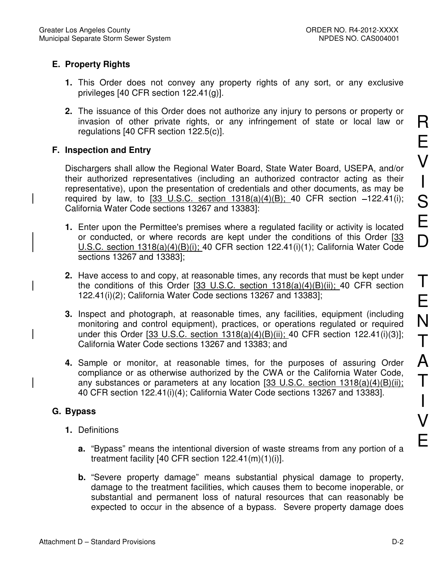# **E. Property Rights**

- **1.** This Order does not convey any property rights of any sort, or any exclusive privileges [40 CFR section 122.41(g)].
- **2.** The issuance of this Order does not authorize any injury to persons or property or invasion of other private rights, or any infringement of state or local law or regulations [40 CFR section 122.5(c)].

# **F. Inspection and Entry**

Dischargers shall allow the Regional Water Board, State Water Board, USEPA, and/or their authorized representatives (including an authorized contractor acting as their representative), upon the presentation of credentials and other documents, as may be required by law, to  $[33 \text{ U.S.C. section } 1318(a)(4)(B); 40 \text{ CFR section } -122.41(i);$ California Water Code sections 13267 and 13383]:

- **1.** Enter upon the Permittee's premises where a regulated facility or activity is located or conducted, or where records are kept under the conditions of this Order [33 U.S.C. section 1318(a)(4)(B)(i); 40 CFR section 122.41(i)(1); California Water Code sections 13267 and 13383];
- **2.** Have access to and copy, at reasonable times, any records that must be kept under the conditions of this Order  $[33 \text{ U.S.C. }$  section  $1318(a)(4)(B)(ii)$ ; 40 CFR section 122.41(i)(2); California Water Code sections 13267 and 13383];
- **3.** Inspect and photograph, at reasonable times, any facilities, equipment (including monitoring and control equipment), practices, or operations regulated or required under this Order [33 U.S.C. section 1318(a)(4)(B)(ii); 40 CFR section 122.41(i)(3)]; California Water Code sections 13267 and 13383; and
- **4.** Sample or monitor, at reasonable times, for the purposes of assuring Order compliance or as otherwise authorized by the CWA or the California Water Code, any substances or parameters at any location [33 U.S.C. section 1318(a)(4)(B)(ii); 40 CFR section 122.41(i)(4); California Water Code sections 13267 and 13383].

# **G. Bypass**

- **1.** Definitions
	- **a.** "Bypass" means the intentional diversion of waste streams from any portion of a treatment facility [40 CFR section  $122.41(m)(1)(i)$ ].
	- **b.** "Severe property damage" means substantial physical damage to property, damage to the treatment facilities, which causes them to become inoperable, or substantial and permanent loss of natural resources that can reasonably be expected to occur in the absence of a bypass. Severe property damage does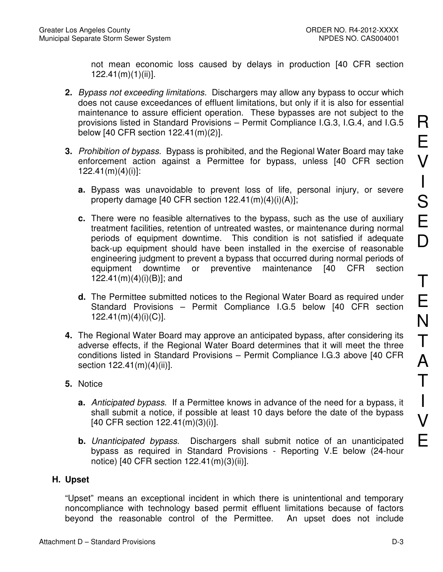not mean economic loss caused by delays in production [40 CFR section 122.41(m)(1)(ii)].

- **2.** Bypass not exceeding limitations. Dischargers may allow any bypass to occur which does not cause exceedances of effluent limitations, but only if it is also for essential maintenance to assure efficient operation. These bypasses are not subject to the provisions listed in Standard Provisions – Permit Compliance I.G.3, I.G.4, and I.G.5 below [40 CFR section 122.41(m)(2)].
- **3.** Prohibition of bypass. Bypass is prohibited, and the Regional Water Board may take enforcement action against a Permittee for bypass, unless [40 CFR section 122.41(m)(4)(i)]:
	- **a.** Bypass was unavoidable to prevent loss of life, personal injury, or severe property damage [40 CFR section 122.41(m)(4)(i)(A)];
	- **c.** There were no feasible alternatives to the bypass, such as the use of auxiliary treatment facilities, retention of untreated wastes, or maintenance during normal periods of equipment downtime. This condition is not satisfied if adequate back-up equipment should have been installed in the exercise of reasonable engineering judgment to prevent a bypass that occurred during normal periods of equipment downtime or preventive maintenance [40 CFR section 122.41(m)(4)(i)(B)]; and
	- **d.** The Permittee submitted notices to the Regional Water Board as required under Standard Provisions – Permit Compliance I.G.5 below [40 CFR section  $122.41(m)(4)(i)(C)$ ].
- **4.** The Regional Water Board may approve an anticipated bypass, after considering its adverse effects, if the Regional Water Board determines that it will meet the three conditions listed in Standard Provisions – Permit Compliance I.G.3 above [40 CFR section 122.41(m)(4)(ii)].
- **5.** Notice
	- **a.** Anticipated bypass. If a Permittee knows in advance of the need for a bypass, it shall submit a notice, if possible at least 10 days before the date of the bypass [40 CFR section 122.41(m)(3)(i)].
	- **b.** Unanticipated bypass. Dischargers shall submit notice of an unanticipated bypass as required in Standard Provisions - Reporting V.E below (24-hour notice) [40 CFR section 122.41(m)(3)(ii)].

# **H. Upset**

"Upset" means an exceptional incident in which there is unintentional and temporary noncompliance with technology based permit effluent limitations because of factors beyond the reasonable control of the Permittee. An upset does not include

R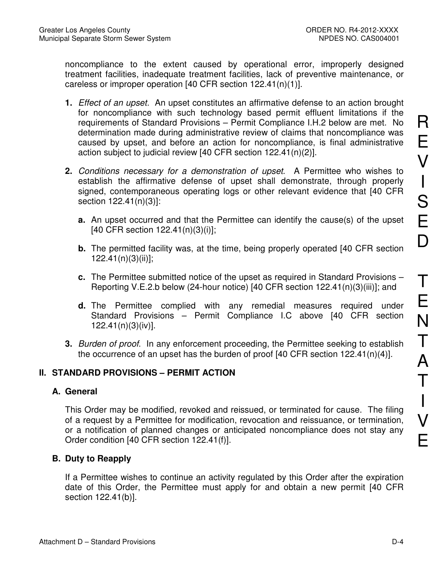noncompliance to the extent caused by operational error, improperly designed treatment facilities, inadequate treatment facilities, lack of preventive maintenance, or careless or improper operation [40 CFR section 122.41(n)(1)].

- **1.** Effect of an upset. An upset constitutes an affirmative defense to an action brought for noncompliance with such technology based permit effluent limitations if the requirements of Standard Provisions – Permit Compliance I.H.2 below are met. No determination made during administrative review of claims that noncompliance was caused by upset, and before an action for noncompliance, is final administrative action subject to judicial review [40 CFR section 122.41(n)(2)].
- **2.** Conditions necessary for a demonstration of upset. A Permittee who wishes to establish the affirmative defense of upset shall demonstrate, through properly signed, contemporaneous operating logs or other relevant evidence that [40 CFR section 122.41(n)(3)]:
	- **a.** An upset occurred and that the Permittee can identify the cause(s) of the upset [40 CFR section 122.41(n)(3)(i)];
	- **b.** The permitted facility was, at the time, being properly operated [40 CFR section 122.41(n)(3)(ii)];
	- **c.** The Permittee submitted notice of the upset as required in Standard Provisions Reporting V.E.2.b below (24-hour notice) [40 CFR section 122.41(n)(3)(iii)]; and
	- **d.** The Permittee complied with any remedial measures required under Standard Provisions – Permit Compliance I.C above [40 CFR section 122.41(n)(3)(iv)].
- **3.** Burden of proof. In any enforcement proceeding, the Permittee seeking to establish the occurrence of an upset has the burden of proof [40 CFR section 122.41(n)(4)].

# **II. STANDARD PROVISIONS – PERMIT ACTION**

### **A. General**

This Order may be modified, revoked and reissued, or terminated for cause. The filing of a request by a Permittee for modification, revocation and reissuance, or termination, or a notification of planned changes or anticipated noncompliance does not stay any Order condition [40 CFR section 122.41(f)].

# **B. Duty to Reapply**

If a Permittee wishes to continue an activity regulated by this Order after the expiration date of this Order, the Permittee must apply for and obtain a new permit [40 CFR section 122.41(b)].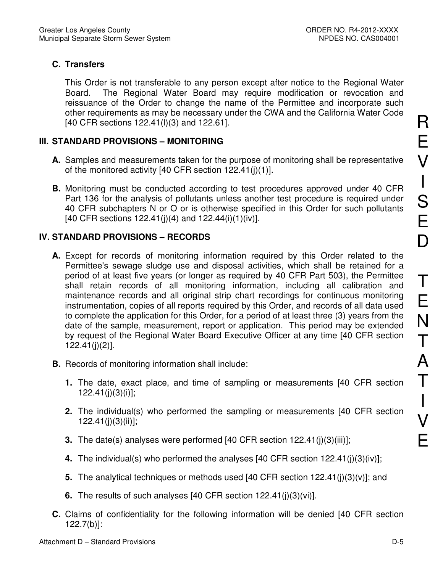# **C. Transfers**

This Order is not transferable to any person except after notice to the Regional Water Board. The Regional Water Board may require modification or revocation and reissuance of the Order to change the name of the Permittee and incorporate such other requirements as may be necessary under the CWA and the California Water Code [40 CFR sections 122.41(l)(3) and 122.61].

# **III. STANDARD PROVISIONS – MONITORING**

- **A.** Samples and measurements taken for the purpose of monitoring shall be representative of the monitored activity [40 CFR section 122.41(j)(1)].
- **B.** Monitoring must be conducted according to test procedures approved under 40 CFR Part 136 for the analysis of pollutants unless another test procedure is required under 40 CFR subchapters N or O or is otherwise specified in this Order for such pollutants [40 CFR sections  $122.41(j)(4)$  and  $122.44(i)(1)(iv)$ ].

# **IV. STANDARD PROVISIONS – RECORDS**

- **A.** Except for records of monitoring information required by this Order related to the Permittee's sewage sludge use and disposal activities, which shall be retained for a period of at least five years (or longer as required by 40 CFR Part 503), the Permittee shall retain records of all monitoring information, including all calibration and maintenance records and all original strip chart recordings for continuous monitoring instrumentation, copies of all reports required by this Order, and records of all data used to complete the application for this Order, for a period of at least three (3) years from the date of the sample, measurement, report or application. This period may be extended by request of the Regional Water Board Executive Officer at any time [40 CFR section 122.41(j)(2)].
- **B.** Records of monitoring information shall include:
	- **1.** The date, exact place, and time of sampling or measurements [40 CFR section 122.41(j)(3)(i)];
	- **2.** The individual(s) who performed the sampling or measurements [40 CFR section 122.41(j)(3)(ii)];
	- **3.** The date(s) analyses were performed [40 CFR section 122.41(j)(3)(iii)];
	- **4.** The individual(s) who performed the analyses [40 CFR section 122.41(j)(3)(iv)];
	- **5.** The analytical techniques or methods used [40 CFR section 122.41(j)(3)(v)]; and
	- **6.** The results of such analyses [40 CFR section 122.41(j)(3)(vi)].
- **C.** Claims of confidentiality for the following information will be denied [40 CFR section 122.7(b)]:

R

E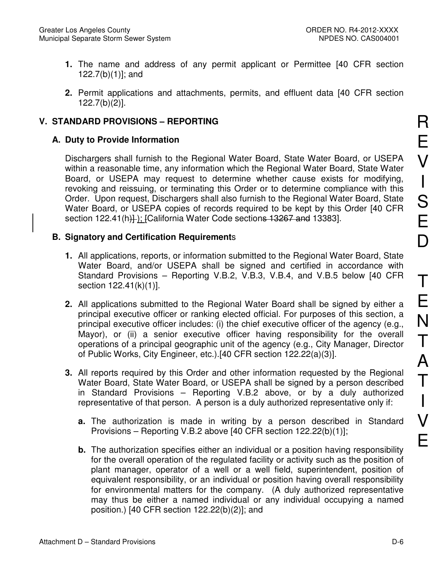- **1.** The name and address of any permit applicant or Permittee [40 CFR section 122.7(b)(1)]; and
- **2.** Permit applications and attachments, permits, and effluent data [40 CFR section 122.7(b)(2)].

## **V. STANDARD PROVISIONS – REPORTING**

## **A. Duty to Provide Information**

Dischargers shall furnish to the Regional Water Board, State Water Board, or USEPA within a reasonable time, any information which the Regional Water Board, State Water Board, or USEPA may request to determine whether cause exists for modifying, revoking and reissuing, or terminating this Order or to determine compliance with this Order. Upon request, Dischargers shall also furnish to the Regional Water Board, State Water Board, or USEPA copies of records required to be kept by this Order [40 CFR section 122.41(h)); [California Water Code sections 13267 and 13383].

### **B. Signatory and Certification Requirement**s

- **1.** All applications, reports, or information submitted to the Regional Water Board, State Water Board, and/or USEPA shall be signed and certified in accordance with Standard Provisions – Reporting V.B.2, V.B.3, V.B.4, and V.B.5 below [40 CFR section 122.41(k)(1)].
- **2.** All applications submitted to the Regional Water Board shall be signed by either a principal executive officer or ranking elected official. For purposes of this section, a principal executive officer includes: (i) the chief executive officer of the agency (e.g., Mayor), or (ii) a senior executive officer having responsibility for the overall operations of a principal geographic unit of the agency (e.g., City Manager, Director of Public Works, City Engineer, etc.).[40 CFR section 122.22(a)(3)].
- **3.** All reports required by this Order and other information requested by the Regional Water Board, State Water Board, or USEPA shall be signed by a person described in Standard Provisions – Reporting V.B.2 above, or by a duly authorized representative of that person. A person is a duly authorized representative only if:
	- **a.** The authorization is made in writing by a person described in Standard Provisions – Reporting V.B.2 above [40 CFR section 122.22(b)(1)];
	- **b.** The authorization specifies either an individual or a position having responsibility for the overall operation of the regulated facility or activity such as the position of plant manager, operator of a well or a well field, superintendent, position of equivalent responsibility, or an individual or position having overall responsibility for environmental matters for the company. (A duly authorized representative may thus be either a named individual or any individual occupying a named position.) [40 CFR section 122.22(b)(2)]; and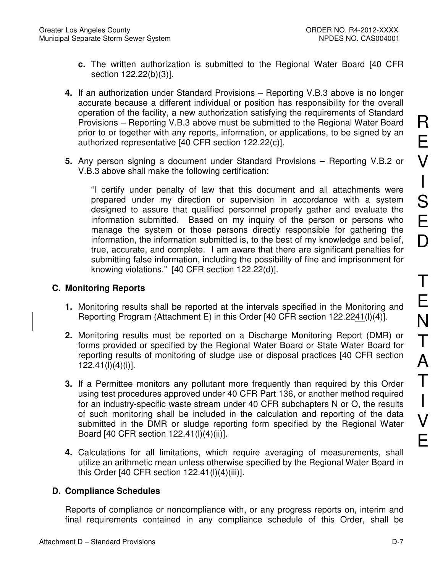- **c.** The written authorization is submitted to the Regional Water Board [40 CFR section 122.22(b)(3)].
- **4.** If an authorization under Standard Provisions Reporting V.B.3 above is no longer accurate because a different individual or position has responsibility for the overall operation of the facility, a new authorization satisfying the requirements of Standard Provisions – Reporting V.B.3 above must be submitted to the Regional Water Board prior to or together with any reports, information, or applications, to be signed by an authorized representative [40 CFR section 122.22(c)].
- **5.** Any person signing a document under Standard Provisions Reporting V.B.2 or V.B.3 above shall make the following certification:

"I certify under penalty of law that this document and all attachments were prepared under my direction or supervision in accordance with a system designed to assure that qualified personnel properly gather and evaluate the information submitted. Based on my inquiry of the person or persons who manage the system or those persons directly responsible for gathering the information, the information submitted is, to the best of my knowledge and belief, true, accurate, and complete. I am aware that there are significant penalties for submitting false information, including the possibility of fine and imprisonment for knowing violations." [40 CFR section 122.22(d)].

## **C. Monitoring Reports**

- **1.** Monitoring results shall be reported at the intervals specified in the Monitoring and Reporting Program (Attachment E) in this Order [40 CFR section 122.2241(l)(4)].
- **2.** Monitoring results must be reported on a Discharge Monitoring Report (DMR) or forms provided or specified by the Regional Water Board or State Water Board for reporting results of monitoring of sludge use or disposal practices [40 CFR section 122.41(l)(4)(i)].
- **3.** If a Permittee monitors any pollutant more frequently than required by this Order using test procedures approved under 40 CFR Part 136, or another method required for an industry-specific waste stream under 40 CFR subchapters N or O, the results of such monitoring shall be included in the calculation and reporting of the data submitted in the DMR or sludge reporting form specified by the Regional Water Board [40 CFR section 122.41(l)(4)(ii)].
- **4.** Calculations for all limitations, which require averaging of measurements, shall utilize an arithmetic mean unless otherwise specified by the Regional Water Board in this Order [40 CFR section 122.41(l)(4)(iii)].

# **D. Compliance Schedules**

Reports of compliance or noncompliance with, or any progress reports on, interim and final requirements contained in any compliance schedule of this Order, shall be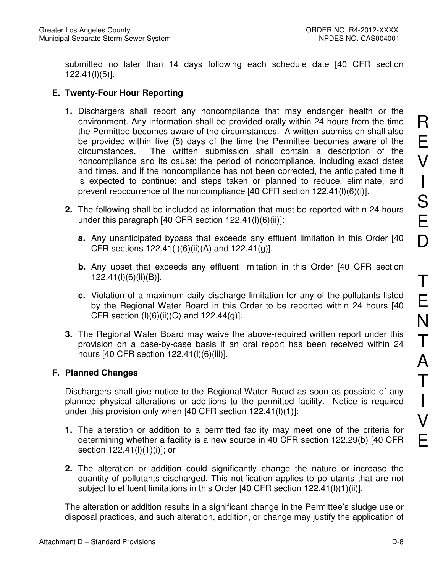submitted no later than 14 days following each schedule date [40 CFR section 122.41(l)(5)].

## **E. Twenty-Four Hour Reporting**

- **1.** Dischargers shall report any noncompliance that may endanger health or the environment. Any information shall be provided orally within 24 hours from the time the Permittee becomes aware of the circumstances. A written submission shall also be provided within five (5) days of the time the Permittee becomes aware of the circumstances. The written submission shall contain a description of the noncompliance and its cause; the period of noncompliance, including exact dates and times, and if the noncompliance has not been corrected, the anticipated time it is expected to continue; and steps taken or planned to reduce, eliminate, and prevent reoccurrence of the noncompliance [40 CFR section 122.41(l)(6)(i)].
- **2.** The following shall be included as information that must be reported within 24 hours under this paragraph  $[40 \text{ CFR section } 122.41(l)(6)(ii)]$ :
	- **a.** Any unanticipated bypass that exceeds any effluent limitation in this Order [40 CFR sections  $122.41(l)(6)(ii)(A)$  and  $122.41(g)$ ].
	- **b.** Any upset that exceeds any effluent limitation in this Order [40 CFR section 122.41(l)(6)(ii)(B)].
	- **c.** Violation of a maximum daily discharge limitation for any of the pollutants listed by the Regional Water Board in this Order to be reported within 24 hours [40 CFR section  $(I)(6)(ii)(C)$  and 122.44 $(g)$ ].
- **3.** The Regional Water Board may waive the above-required written report under this provision on a case-by-case basis if an oral report has been received within 24 hours [40 CFR section 122.41(l)(6)(iii)].

### **F. Planned Changes**

Dischargers shall give notice to the Regional Water Board as soon as possible of any planned physical alterations or additions to the permitted facility. Notice is required under this provision only when [40 CFR section 122.41(l)(1)]:

- **1.** The alteration or addition to a permitted facility may meet one of the criteria for determining whether a facility is a new source in 40 CFR section 122.29(b) [40 CFR section 122.41(|)(1)(i)]; or
- **2.** The alteration or addition could significantly change the nature or increase the quantity of pollutants discharged. This notification applies to pollutants that are not subject to effluent limitations in this Order [40 CFR section 122.41(l)(1)(ii)].

The alteration or addition results in a significant change in the Permittee's sludge use or disposal practices, and such alteration, addition, or change may justify the application of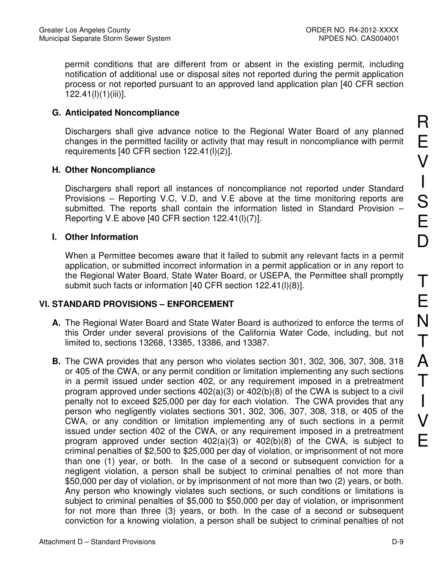permit conditions that are different from or absent in the existing permit, including notification of additional use or disposal sites not reported during the permit application process or not reported pursuant to an approved land application plan [40 CFR section 122.41(l)(1)(iii)].

## **G. Anticipated Noncompliance**

Dischargers shall give advance notice to the Regional Water Board of any planned changes in the permitted facility or activity that may result in noncompliance with permit requirements [40 CFR section 122.41(l)(2)].

## **H. Other Noncompliance**

Dischargers shall report all instances of noncompliance not reported under Standard Provisions – Reporting V.C, V.D, and V.E above at the time monitoring reports are submitted. The reports shall contain the information listed in Standard Provision – Reporting V.E above [40 CFR section 122.41(l)(7)].

### **I. Other Information**

When a Permittee becomes aware that it failed to submit any relevant facts in a permit application, or submitted incorrect information in a permit application or in any report to the Regional Water Board, State Water Board, or USEPA, the Permittee shall promptly submit such facts or information [40 CFR section 122.41(l)(8)].

# **VI. STANDARD PROVISIONS – ENFORCEMENT**

- **A.** The Regional Water Board and State Water Board is authorized to enforce the terms of this Order under several provisions of the California Water Code, including, but not limited to, sections 13268, 13385, 13386, and 13387.
- **B.** The CWA provides that any person who violates section 301, 302, 306, 307, 308, 318 or 405 of the CWA, or any permit condition or limitation implementing any such sections in a permit issued under section 402, or any requirement imposed in a pretreatment program approved under sections  $402(a)(3)$  or  $402(b)(8)$  of the CWA is subject to a civil penalty not to exceed \$25,000 per day for each violation. The CWA provides that any person who negligently violates sections 301, 302, 306, 307, 308, 318, or 405 of the CWA, or any condition or limitation implementing any of such sections in a permit issued under section 402 of the CWA, or any requirement imposed in a pretreatment program approved under section 402(a)(3) or 402(b)(8) of the CWA, is subject to criminal penalties of \$2,500 to \$25,000 per day of violation, or imprisonment of not more than one (1) year, or both. In the case of a second or subsequent conviction for a negligent violation, a person shall be subject to criminal penalties of not more than \$50,000 per day of violation, or by imprisonment of not more than two (2) years, or both. Any person who knowingly violates such sections, or such conditions or limitations is subject to criminal penalties of \$5,000 to \$50,000 per day of violation, or imprisonment for not more than three (3) years, or both. In the case of a second or subsequent conviction for a knowing violation, a person shall be subject to criminal penalties of not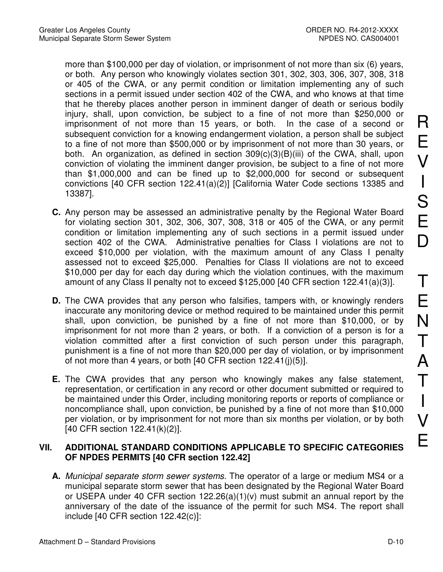more than \$100,000 per day of violation, or imprisonment of not more than six (6) years, or both. Any person who knowingly violates section 301, 302, 303, 306, 307, 308, 318 or 405 of the CWA, or any permit condition or limitation implementing any of such sections in a permit issued under section 402 of the CWA, and who knows at that time that he thereby places another person in imminent danger of death or serious bodily injury, shall, upon conviction, be subject to a fine of not more than \$250,000 or imprisonment of not more than 15 years, or both. In the case of a second or subsequent conviction for a knowing endangerment violation, a person shall be subject to a fine of not more than \$500,000 or by imprisonment of not more than 30 years, or both. An organization, as defined in section 309(c)(3)(B)(iii) of the CWA, shall, upon conviction of violating the imminent danger provision, be subject to a fine of not more than \$1,000,000 and can be fined up to \$2,000,000 for second or subsequent convictions [40 CFR section 122.41(a)(2)] [California Water Code sections 13385 and 13387].

- **C.** Any person may be assessed an administrative penalty by the Regional Water Board for violating section 301, 302, 306, 307, 308, 318 or 405 of the CWA, or any permit condition or limitation implementing any of such sections in a permit issued under section 402 of the CWA. Administrative penalties for Class I violations are not to exceed \$10,000 per violation, with the maximum amount of any Class I penalty assessed not to exceed \$25,000. Penalties for Class II violations are not to exceed \$10,000 per day for each day during which the violation continues, with the maximum amount of any Class II penalty not to exceed \$125,000 [40 CFR section 122.41(a)(3)].
- **D.** The CWA provides that any person who falsifies, tampers with, or knowingly renders inaccurate any monitoring device or method required to be maintained under this permit shall, upon conviction, be punished by a fine of not more than \$10,000, or by imprisonment for not more than 2 years, or both. If a conviction of a person is for a violation committed after a first conviction of such person under this paragraph, punishment is a fine of not more than \$20,000 per day of violation, or by imprisonment of not more than 4 years, or both [40 CFR section 122.41(j)(5)].
- **E.** The CWA provides that any person who knowingly makes any false statement, representation, or certification in any record or other document submitted or required to be maintained under this Order, including monitoring reports or reports of compliance or noncompliance shall, upon conviction, be punished by a fine of not more than \$10,000 per violation, or by imprisonment for not more than six months per violation, or by both [40 CFR section 122.41(k)(2)].

## **VII. ADDITIONAL STANDARD CONDITIONS APPLICABLE TO SPECIFIC CATEGORIES OF NPDES PERMITS [40 CFR section 122.42]**

**A.** Municipal separate storm sewer systems. The operator of a large or medium MS4 or a municipal separate storm sewer that has been designated by the Regional Water Board or USEPA under 40 CFR section 122.26(a)(1)(v) must submit an annual report by the anniversary of the date of the issuance of the permit for such MS4. The report shall include [40 CFR section 122.42(c)]: